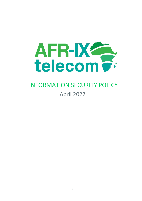

# INFORMATION SECURITY POLICY April 2022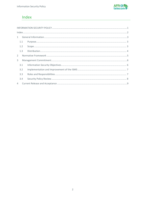

# Index

| $\mathbf{1}$   |  |  |  |  |
|----------------|--|--|--|--|
| 1.1            |  |  |  |  |
| 1.2            |  |  |  |  |
| 1.3            |  |  |  |  |
| $\mathcal{L}$  |  |  |  |  |
| 3              |  |  |  |  |
| 3.1            |  |  |  |  |
| 3.2            |  |  |  |  |
| 3.3            |  |  |  |  |
| 3.4            |  |  |  |  |
| $\overline{4}$ |  |  |  |  |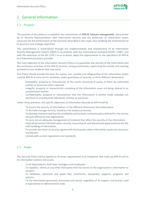

# 1 General Information

## 1.1 Purpose

The purpose of this policy is to establish the commitment of AFR-IX Telecom management, represented by its Security Representative, with information security and the protection of information assets necessary for the performance of the functions described in the scope, thus enabling the achievement of its business and strategic objectives.

This commitment is materialized through the implementation and maintenance of an Information Security Management System (ISMS) in accordance with the international standard ISO/IEC 27001, and with the extension of the ISO 27011 so as to better adapt the requirements to the operations of AFR-IX as a telecommunications provider.

The main objective of the Information Security Policy is to guarantee the security of the information and the continuous provision of the AFR-IX services, acting preventively, supervising the activity and reacting promptly to any incidents that may occur.

This Policy should provide the basis for access, use, custody and safeguarding of the information assets used by AFR-IX to carry out its functions, under guarantees of security, in all its different dimensions:

- Availability: property or characteristic of the assets consisting of access to them by authorized entities or processes when required.
- Integrity: property or characteristic consisting of the information asset not being altered in an unauthorized manner.
- Confidentiality: property or characteristic that the information is neither made available nor disclosed to unauthorized individuals, entities or processes.

Under these premises, the specific objectives of Information Security at AFR-IX will be

- To ensure the security of information, in the different dimensions described above.
- To formally manage security, based on risk analysis processes.
- To develop, maintain and test the availability and business continuity plans defined for the various services offered by the organization.
- To carry out an adequate management of incidents that affect the security of the information.
- Keep all personnel informed about security requirements and disseminate good practices for the safe handling of information.
- To provide the levels of security agreed with third parties when information assets are shared or transferred.
- Comply with current regulations and standards.

## 1.2 Scope

This Security Policy will be applied to all areas, departments and companies that make up AFR-IX and to its information systems and assets:

- To all departments, both their managers and employees.
- To suppliers, clients or any other third party that has access to the organization's information or systems.
- To databases, electronic and paper files, treatments, equipment, supports, programs and systems.
- To the information generated, processed and stored, regardless of its support and format, used in operational or administrative tasks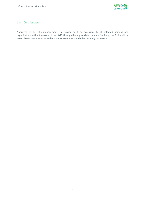

## 1.3 Distribution

Approved by AFR-IX's management, this policy must be accessible to all affected persons and organizations within the scope of the ISMS, through the appropriate channels. Similarly, the Policy will be accessible to any interested stakeholder or competent body that formally requests it.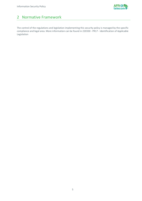

# 2 Normative Framework

The control of the regulations and legislation implementing this security policy is managed by the specific compliance and legal area. More information can be found in 220330 - PR17 - Identification of Applicable Legislation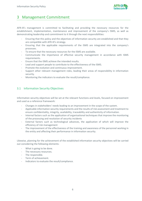

## 3 Management Commitment

AFR-IX's management is committed to facilitating and providing the necessary resources for the establishment, implementation, maintenance and improvement of the company's ISMS, as well as demonstrating leadership and commitment to it through the next responsibilities:

- Ensuring that this policy and the objectives of information security are established and that they are compatible with AFR-IX's strategy.
- Ensuring that the applicable requirements of the ISMS are integrated into the company's processes.
- To ensure that the necessary resources for the ISMS are available.
- Communicate the importance of effective security management in accordance with ISMS requirements.
- Ensure that the ISMS achieve the intended results.
- Lead and support people to contribute to the effectiveness of the ISMS.
- Promote the evolution and continuous improvement.
- Support other relevant management roles, leading their areas of responsibility in information security.
- Monitoring the indicators to evaluate the result/compliance.

## 3.1 Information Security Objectives

Information security objectives will be set at the relevant functions and levels, focused on improvement and used as a reference framework:

- Changes in stakeholders' needs leading to an improvement in the scope of the system.
- Applicable information security requirements and the results of risk assessment and treatment to ensure confidentiality, integrity, availability, traceability and authenticity of information.
- Internal factors such as the application of organisational techniques that improve the monitoring of the processing and resolution of security incidents
- External factors such as technological advances, the application of which will improve the efficiency of risk management
- The improvement of the effectiveness of the training and awareness of the personnel working in the entity and affecting their performance in information security.

Likewise, planning for the achievement of the established information security objectives will be carried out considering the following elements:

- What is going to be done.
- The necessary resources.
- The responsible.
- Term of achievement.
- Indicators to evaluate the result/compliance.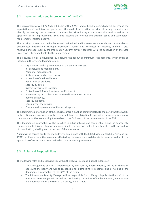

## 3.2 Implementation and Improvement of the ISMS

The deployment of AFR-IX's ISMS will begin with a SWOT and a Risk Analysis, which will determine the expectations of the interested parties and the level of information security risk facing the entity and identify the security controls needed to address the risk and bring it to an acceptable level, as well as the opportunities for improvement, taking into account the internal and external issues and stakeholder requirements indicated above.

The security controls must be implemented, maintained and improved continuously, and be available as documented information, through procedures, regulations, technical instructions, manuals, etc., reviewed and approved by the Information Security Officer, together with the supervision of the Data Protection Officer and finally by the management.

This Security Policy is developed by applying the following minimum requirements, which must be included in the system documentation:

- Organization and implementation of the security process.
- Risk analysis and management.
- Personnel management.
- Authorization and access control.
- Protection of the installations.
- Acquisition of products.
- Security by default.
- System integrity and updating.
- Protection of information stored and in transit.
- Prevention against other interconnected information systems.
- Record of activity.
- Security incidents.
- Continuity of the activity.
- Continuous improvement of the security process.

The documented information of the security controls must be communicated to the personnel that works in the entity (employees and suppliers), who will have the obligation to apply it in the accomplishment of their work activities, committing themselves to the fulfilment of the requirements of the SGSI.

The documented information will be classified in public, internal and confidential, giving the appropriate use according to this classification and according to the criterion that will be established in the procedure of classification, labelling and protection of the information.

Audits will be carried out to review and verify compliance with the ISMS based on ISO/IEC 27001 and ISO 27011, so if necessary, the personnel affected by the scope must collaborate in these, as well as in the application of corrective actions derived for continuous improvement.

## 3.3 Roles and Responsibilities

The following roles and responsibilities within the ISMS are set out, but not extensively:

- The Management of AFR-IX, represented by the Security Representative, will be in charge of approving the policy and will be responsible for authorizing its modifications, as well as all the documented information of the ISMS of the entity.
- The Information Security Manager will be responsible for notifying this policy to the staff of the entity and any changes in it, as well as coordinating the actions of implementation, maintenance and improvement of the ISMS of the entity, and its audits.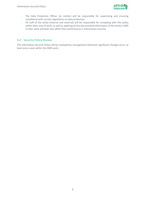

- The Data Protection Officer (or similar) will be responsible for supervising and ensuring compliance with current regulations on data protection.
- All staff of the entity (internal and external) will be responsible for complying with this policy within their area of work, as well as applying all the documented information of the entity's ISMS in their work activities that affect their performance in information security.

#### 3.4 Security Policy Review

This Information Security Policy will be reviewed by management whenever significant changes occur, at least once a year within the ISMS cycle.